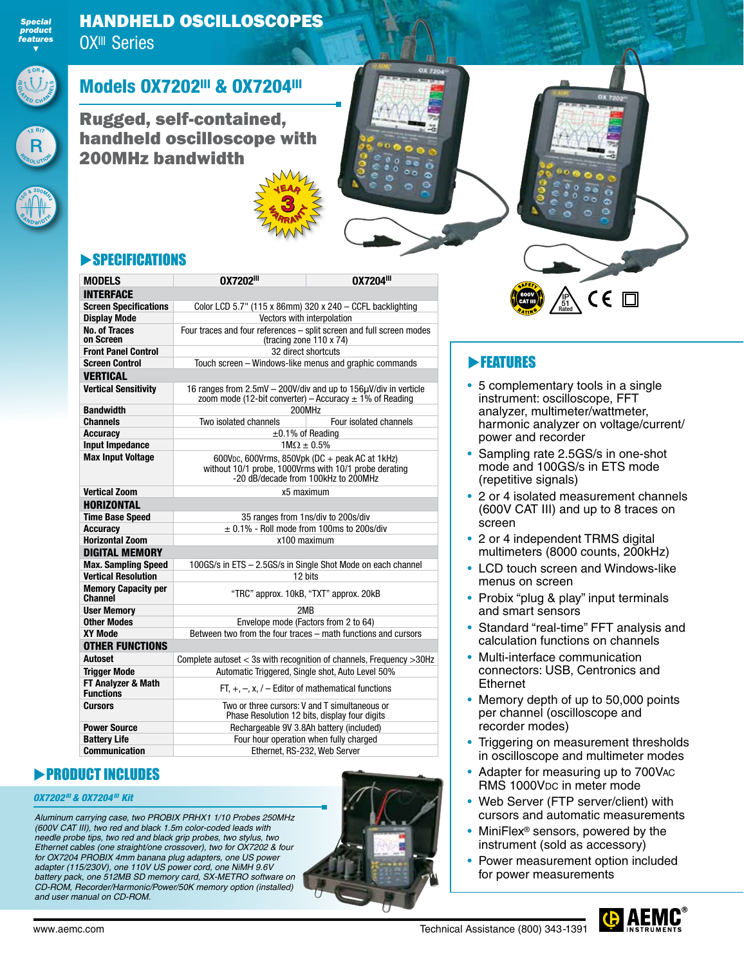

## HANDHELD OSCILLOSCOPES OX<sup>III</sup> Series



**<sup>1</sup>2 <sup>B</sup>IT**

**R**

## **Models 0X7202III & 0X7204III**

Rugged, self-contained, handheld oscilloscope with 200MHz bandwidth



# **SPECIFICATIONS**

| <b>MODELS</b>                                | 0X7202 <sup>III</sup>                                                                                                                          | 0X7204III                                                     |  |  |  |
|----------------------------------------------|------------------------------------------------------------------------------------------------------------------------------------------------|---------------------------------------------------------------|--|--|--|
| <b>INTERFACE</b>                             |                                                                                                                                                |                                                               |  |  |  |
| <b>Screen Specifications</b>                 | Color LCD 5.7" (115 x 86mm) 320 x 240 - CCFL backlighting                                                                                      |                                                               |  |  |  |
| <b>Display Mode</b>                          | Vectors with interpolation                                                                                                                     |                                                               |  |  |  |
| <b>No. of Traces</b><br>on Screen            | Four traces and four references - split screen and full screen modes<br>(tracing zone $110 \times 74$ )                                        |                                                               |  |  |  |
| <b>Front Panel Control</b>                   | 32 direct shortcuts                                                                                                                            |                                                               |  |  |  |
| <b>Screen Control</b>                        | Touch screen - Windows-like menus and graphic commands                                                                                         |                                                               |  |  |  |
| VERTICAL                                     |                                                                                                                                                |                                                               |  |  |  |
| <b>Vertical Sensitivity</b>                  | 16 ranges from 2.5mV - 200V/div and up to 156µV/div in verticle<br>zoom mode (12-bit converter) – Accuracy $\pm$ 1% of Reading                 |                                                               |  |  |  |
| Bandwidth                                    | 200MHz                                                                                                                                         |                                                               |  |  |  |
| <b>Channels</b>                              | Two isolated channels                                                                                                                          | Four isolated channels                                        |  |  |  |
| <b>Accuracy</b>                              | $\pm 0.1\%$ of Reading                                                                                                                         |                                                               |  |  |  |
| <b>Input Impedance</b>                       | $1M\Omega \pm 0.5\%$                                                                                                                           |                                                               |  |  |  |
| <b>Max Input Voltage</b>                     | 600Vpc, 600Vrms, 850Vpk (DC + peak AC at 1kHz)<br>without 10/1 probe, 1000Vrms with 10/1 probe derating<br>-20 dB/decade from 100kHz to 200MHz |                                                               |  |  |  |
| <b>Vertical Zoom</b>                         | x5 maximum                                                                                                                                     |                                                               |  |  |  |
| <b>HORIZONTAL</b>                            |                                                                                                                                                |                                                               |  |  |  |
| <b>Time Base Speed</b>                       | 35 ranges from 1ns/div to 200s/div                                                                                                             |                                                               |  |  |  |
| <b>Accuracy</b>                              | $\pm$ 0.1% - Roll mode from 100ms to 200s/div                                                                                                  |                                                               |  |  |  |
| <b>Horizontal Zoom</b>                       | x100 maximum                                                                                                                                   |                                                               |  |  |  |
| <b>DIGITAL MEMORY</b>                        |                                                                                                                                                |                                                               |  |  |  |
| <b>Max. Sampling Speed</b>                   | 100GS/s in ETS - 2.5GS/s in Single Shot Mode on each channel                                                                                   |                                                               |  |  |  |
| <b>Vertical Resolution</b>                   | 12 bits                                                                                                                                        |                                                               |  |  |  |
| <b>Memory Capacity per</b><br><b>Channel</b> |                                                                                                                                                | "TRC" approx. 10kB, "TXT" approx. 20kB                        |  |  |  |
| <b>User Memory</b>                           | 2MB                                                                                                                                            |                                                               |  |  |  |
| <b>Other Modes</b>                           | Envelope mode (Factors from 2 to 64)                                                                                                           |                                                               |  |  |  |
| XY Mode                                      |                                                                                                                                                | Between two from the four traces – math functions and cursors |  |  |  |
| <b>OTHER FUNCTIONS</b>                       |                                                                                                                                                |                                                               |  |  |  |
| Autoset                                      | Complete autoset $<$ 3s with recognition of channels, Frequency $>$ 30Hz                                                                       |                                                               |  |  |  |
| <b>Trigger Mode</b>                          | Automatic Triggered, Single shot, Auto Level 50%                                                                                               |                                                               |  |  |  |
| FT Analyzer & Math<br><b>Functions</b>       | $FT. +, -, x. / - Editor of mathematical functions$                                                                                            |                                                               |  |  |  |
| Cursors                                      | Two or three cursors: V and T simultaneous or<br>Phase Resolution 12 bits, display four digits                                                 |                                                               |  |  |  |
| <b>Power Source</b>                          | Rechargeable 9V 3.8Ah battery (included)                                                                                                       |                                                               |  |  |  |
| <b>Battery Life</b>                          | Four hour operation when fully charged                                                                                                         |                                                               |  |  |  |
| <b>Communication</b>                         | Ethernet. RS-232. Web Server                                                                                                                   |                                                               |  |  |  |

 $\mathbf{F}_{\mathbf{a}}$ 3 **RRANT** YEAR

## **PRODUCT INCLUDES**

#### *OX7202III & OX7204III Kit*

*Aluminum carrying case, two PROBIX PRHX1 1/10 Probes 250MHz (600V CAT III), two red and black 1.5m color-coded leads with needle probe tips, two red and black grip probes, two stylus, two Ethernet cables (one straight/one crossover), two for OX7202 & four for OX7204 PROBIX 4mm banana plug adapters, one US power adapter (115/230V), one 110V US power cord, one NiMH 9.6V battery pack, one 512MB SD memory card, SX-METRO software on CD-ROM, Recorder/Harmonic/Power/50K memory option (installed) and user manual on CD-ROM.*



## **FEATURES**

• 5 complementary tools in a single instrument: oscilloscope, FFT analyzer, multimeter/wattmeter, harmonic analyzer on voltage/current/ power and recorder

IP Rated 51

 $\epsilon$ 

- Sampling rate 2.5GS/s in one-shot mode and 100GS/s in ETS mode (repetitive signals)
- 2 or 4 isolated measurement channels (600V CAT III) and up to 8 traces on screen
- 2 or 4 independent TRMS digital multimeters (8000 counts, 200kHz)
- LCD touch screen and Windows-like menus on screen
- Probix "plug & play" input terminals and smart sensors
- Standard "real-time" FFT analysis and calculation functions on channels
- Multi-interface communication connectors: USB, Centronics and Ethernet
- Memory depth of up to 50,000 points per channel (oscilloscope and recorder modes)
- Triggering on measurement thresholds in oscilloscope and multimeter modes
- Adapter for measuring up to 700Vac RMS 1000V<sub>DC</sub> in meter mode
- Web Server (FTP server/client) with cursors and automatic measurements
- MiniFlex<sup>®</sup> sensors, powered by the instrument (sold as accessory)
- Power measurement option included for power measurements

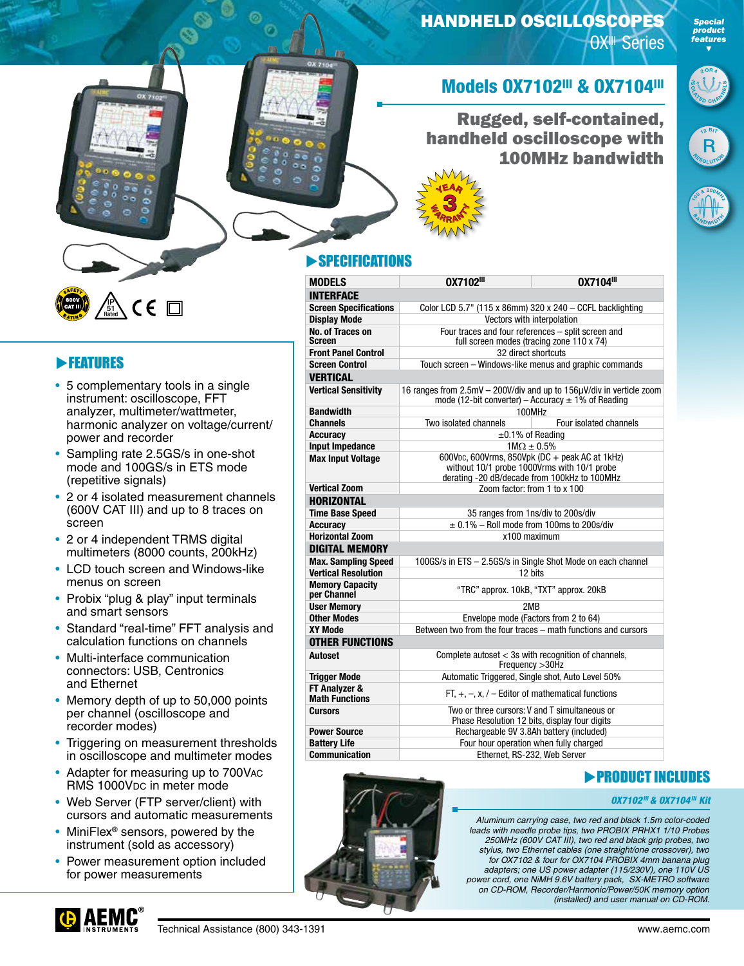## HANDHELD OSCILLOSCOPES

OX<sup>III</sup> Series



*Special product features ▼*

## **Models 0X7102III & 0X7104III**

## Rugged, self-contained, handheld oscilloscope with 100MHz bandwidth





## **SPECIFICATIONS**

 $\triangleq$ 3 **RRANT** YEAR

| <b>MODELS</b>                          | 0X7102III                                                                                                                                     | 0X7104III           |  |  |
|----------------------------------------|-----------------------------------------------------------------------------------------------------------------------------------------------|---------------------|--|--|
| <b>INTERFACE</b>                       |                                                                                                                                               |                     |  |  |
| <b>Screen Specifications</b>           | Color LCD 5.7" (115 x 86mm) 320 x 240 - CCFL backlighting                                                                                     |                     |  |  |
| <b>Display Mode</b>                    | Vectors with interpolation                                                                                                                    |                     |  |  |
| No. of Traces on<br><b>Screen</b>      | Four traces and four references - split screen and<br>full screen modes (tracing zone 110 x 74)                                               |                     |  |  |
| <b>Front Panel Control</b>             |                                                                                                                                               | 32 direct shortcuts |  |  |
| <b>Screen Control</b>                  | Touch screen - Windows-like menus and graphic commands                                                                                        |                     |  |  |
| <b>VERTICAL</b>                        |                                                                                                                                               |                     |  |  |
| <b>Vertical Sensitivity</b>            | 16 ranges from 2.5mV - 200V/div and up to 156µV/div in verticle zoom<br>mode (12-bit converter) – Accuracy $\pm$ 1% of Reading                |                     |  |  |
| <b>Bandwidth</b>                       | 100MHz                                                                                                                                        |                     |  |  |
| <b>Channels</b>                        | Two isolated channels<br>Four isolated channels                                                                                               |                     |  |  |
| <b>Accuracy</b>                        | $\pm 0.1\%$ of Reading                                                                                                                        |                     |  |  |
| <b>Input Impedance</b>                 | $1M\Omega \pm 0.5\%$                                                                                                                          |                     |  |  |
| <b>Max Input Voltage</b>               | 600Vpc, 600Vrms, 850Vpk (DC + peak AC at 1kHz)<br>without 10/1 probe 1000Vrms with 10/1 probe<br>derating -20 dB/decade from 100kHz to 100MHz |                     |  |  |
| <b>Vertical Zoom</b>                   | Zoom factor: from 1 to x 100                                                                                                                  |                     |  |  |
| <b>HORIZONTAL</b>                      |                                                                                                                                               |                     |  |  |
| <b>Time Base Speed</b>                 | 35 ranges from 1ns/div to 200s/div                                                                                                            |                     |  |  |
| <b>Accuracy</b>                        | $\pm$ 0.1% - Roll mode from 100ms to 200s/div                                                                                                 |                     |  |  |
| <b>Horizontal Zoom</b>                 | x100 maximum                                                                                                                                  |                     |  |  |
| <b>DIGITAL MEMORY</b>                  |                                                                                                                                               |                     |  |  |
| <b>Max. Sampling Speed</b>             | 100GS/s in ETS - 2.5GS/s in Single Shot Mode on each channel                                                                                  |                     |  |  |
| <b>Vertical Resolution</b>             | 12 bits                                                                                                                                       |                     |  |  |
| <b>Memory Capacity</b><br>per Channel  | "TRC" approx. 10kB, "TXT" approx. 20kB                                                                                                        |                     |  |  |
| <b>User Memory</b>                     | 2M <sub>B</sub>                                                                                                                               |                     |  |  |
| <b>Other Modes</b>                     | Envelope mode (Factors from 2 to 64)                                                                                                          |                     |  |  |
| <b>XY Mode</b>                         | Between two from the four traces – math functions and cursors                                                                                 |                     |  |  |
| <b>OTHER FUNCTIONS</b>                 |                                                                                                                                               |                     |  |  |
| Autoset                                | Complete autoset < 3s with recognition of channels,<br>Frequency > 30Hz                                                                       |                     |  |  |
| <b>Trigger Mode</b>                    | Automatic Triggered, Single shot, Auto Level 50%                                                                                              |                     |  |  |
| FT Analyzer &<br><b>Math Functions</b> | FT, $+$ , $-$ , x, $/$ – Editor of mathematical functions                                                                                     |                     |  |  |
| <b>Cursors</b>                         | Two or three cursors: V and T simultaneous or<br>Phase Resolution 12 bits, display four digits                                                |                     |  |  |
| <b>Power Source</b>                    | Rechargeable 9V 3.8Ah battery (included)                                                                                                      |                     |  |  |
| <b>Battery Life</b>                    | Four hour operation when fully charged                                                                                                        |                     |  |  |
| <b>Communication</b>                   | Ethernet. RS-232. Web Server                                                                                                                  |                     |  |  |



#### **PRODUCT INCLUDES**

#### *OX7102III & OX7104III Kit*

*Aluminum carrying case, two red and black 1.5m color-coded leads with needle probe tips, two PROBIX PRHX1 1/10 Probes 250MHz (600V CAT III), two red and black grip probes, two stylus, two Ethernet cables (one straight/one crossover), two for OX7102 & four for OX7104 PROBIX 4mm banana plug adapters; one US power adapter (115/230V), one 110V US power cord, one NiMH 9.6V battery pack, SX-METRO software on CD-ROM, Recorder/Harmonic/Power/50K memory option (installed) and user manual on CD-ROM.*

#### $C \in \Box$ IP 51 Rated

### **FEATURES**

- 5 complementary tools in a single instrument: oscilloscope, FFT analyzer, multimeter/wattmeter, harmonic analyzer on voltage/current/ power and recorder
- Sampling rate 2.5GS/s in one-shot mode and 100GS/s in ETS mode (repetitive signals)
- 2 or 4 isolated measurement channels (600V CAT III) and up to 8 traces on screen
- 2 or 4 independent TRMS digital multimeters (8000 counts, 200kHz)
- LCD touch screen and Windows-like menus on screen
- Probix "plug & play" input terminals and smart sensors
- Standard "real-time" FFT analysis and calculation functions on channels
- Multi-interface communication connectors: USB, Centronics and Ethernet
- Memory depth of up to 50,000 points per channel (oscilloscope and recorder modes)
- Triggering on measurement thresholds in oscilloscope and multimeter modes
- Adapter for measuring up to 700Vac RMS 1000V<sub>DC</sub> in meter mode
- Web Server (FTP server/client) with cursors and automatic measurements
- MiniFlex<sup>®</sup> sensors, powered by the instrument (sold as accessory)
- Power measurement option included for power measurements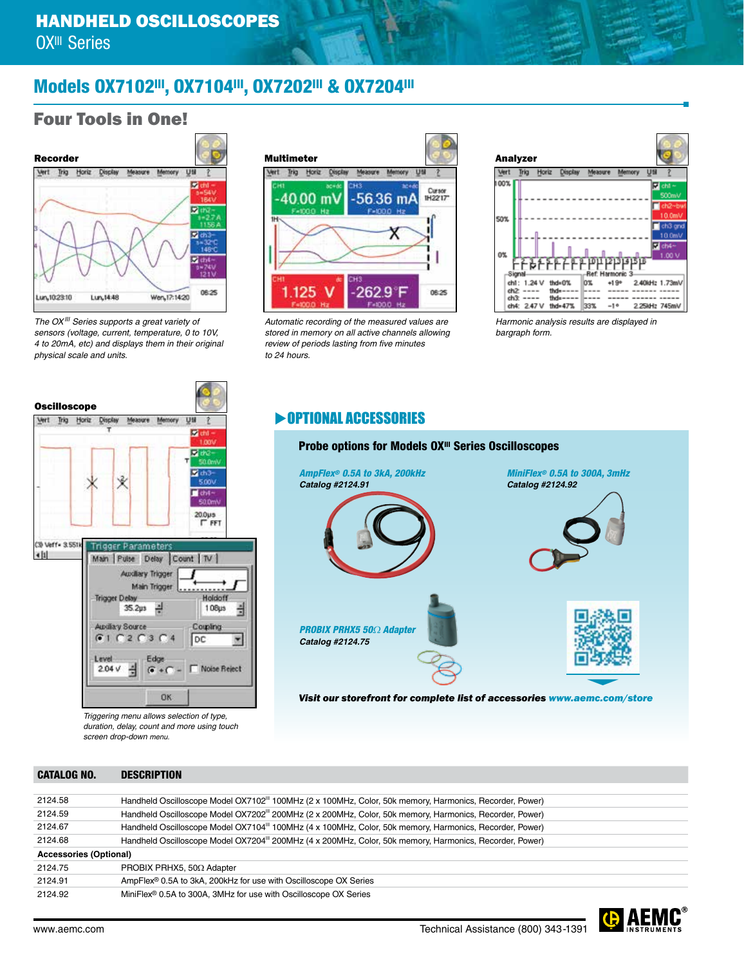## Models 0X7102III, 0X7104III, 0X7202III & 0X7204III

## Four Tools in One!



*The OXIII Series supports a great variety of sensors (voltage, current, temperature, 0 to 10V, 4 to 20mA, etc) and displays them in their original physical scale and units.*



*Automatic recording of the measured values are stored in memory on all active channels allowing review of periods lasting from five minutes to 24 hours.*



*Harmonic analysis results are displayed in bargraph form.*

#### **DEPRIONAL ACCESSORIES**



**Oscilloscope** Vert Trig Horiz Measure Memory 1368 **Diff** (iii) 1.00 東欧 sinn  $\mathbf{z}$  ch<sub>3</sub> Ý 5.00  $\Box$ ch4- $20.0\mu$ s **FFT** (3) Veff - 3.551) **Trigger Parameter**  $-111$ Main Puise Delay Count | TV | **Auxiliary Trigger** Main Trigger **ADOLLARSKA Trigger Delay** Holdoff ŧ 35.2us ~ 108µs Audiay Source Coupling  $G1C2C3C4$ DC.  $\overline{\mathcal{C}}$ Level Edge  $2.04 \sqrt{\frac{3}{2}}$ Noise Reject  $G + C$ OK

*Triggering menu allows selection of type, duration, delay, count and more using touch screen drop-down menu.*

#### CATALOG NO. DESCRIPTION

| 2124.58                       | Handheld Oscilloscope Model OX7102 <sup>"</sup> 100MHz (2 x 100MHz, Color, 50k memory, Harmonics, Recorder, Power) |
|-------------------------------|--------------------------------------------------------------------------------------------------------------------|
| 2124.59                       | Handheld Oscilloscope Model OX7202 <sup>"</sup> 200MHz (2 x 200MHz, Color, 50k memory, Harmonics, Recorder, Power) |
| 2124.67                       | Handheld Oscilloscope Model OX7104" 100MHz (4 x 100MHz, Color, 50k memory, Harmonics, Recorder, Power)             |
| 2124.68                       | Handheld Oscilloscope Model OX7204 <sup>"</sup> 200MHz (4 x 200MHz, Color, 50k memory, Harmonics, Recorder, Power) |
| <b>Accessories (Optional)</b> |                                                                                                                    |
| 2124.75                       | PROBIX PRHX5, 50 $\Omega$ Adapter                                                                                  |
| 2124.91                       | AmpFlex <sup>®</sup> 0.5A to 3kA, 200kHz for use with Oscilloscope OX Series                                       |
| 2124.92                       | MiniFlex <sup>®</sup> 0.5A to 300A, 3MHz for use with Oscilloscope OX Series                                       |
|                               |                                                                                                                    |